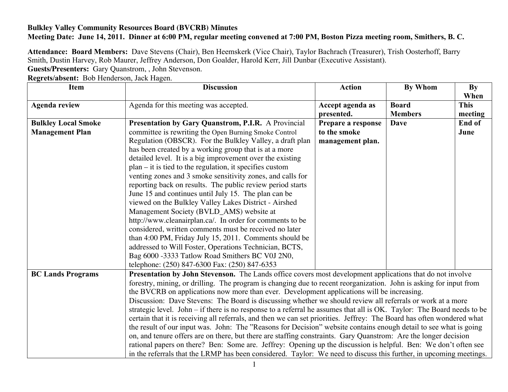## **Bulkley Valley Community Resources Board (BVCRB) Minutes Meeting Date: June 14, 2011. Dinner at 6:00 PM, regular meeting convened at 7:00 PM, Boston Pizza meeting room, Smithers, B. C.**

**Attendance: Board Members:** Dave Stevens (Chair), Ben Heemskerk (Vice Chair), Taylor Bachrach (Treasurer), Trish Oosterhoff, Barry Smith, Dustin Harvey, Rob Maurer, Jeffrey Anderson, Don Goalder, Harold Kerr, Jill Dunbar (Executive Assistant). **Guests/Presenters:** Gary Quanstrom, , John Stevenson.

**Regrets/absent:** Bob Henderson, Jack Hagen.

| <b>Item</b>                | <b>Discussion</b>                                                                                                                                                                                                                                                                                                                                                                                                                                                                 | <b>Action</b>                                                                                             | <b>By Whom</b> | By          |
|----------------------------|-----------------------------------------------------------------------------------------------------------------------------------------------------------------------------------------------------------------------------------------------------------------------------------------------------------------------------------------------------------------------------------------------------------------------------------------------------------------------------------|-----------------------------------------------------------------------------------------------------------|----------------|-------------|
|                            |                                                                                                                                                                                                                                                                                                                                                                                                                                                                                   |                                                                                                           |                | When        |
| <b>Agenda review</b>       | Agenda for this meeting was accepted.                                                                                                                                                                                                                                                                                                                                                                                                                                             | Accept agenda as                                                                                          | <b>Board</b>   | <b>This</b> |
|                            |                                                                                                                                                                                                                                                                                                                                                                                                                                                                                   | presented.                                                                                                | <b>Members</b> | meeting     |
| <b>Bulkley Local Smoke</b> | Presentation by Gary Quanstrom, P.I.R. A Provincial                                                                                                                                                                                                                                                                                                                                                                                                                               | Prepare a response                                                                                        | <b>Dave</b>    | End of      |
| <b>Management Plan</b>     | committee is rewriting the Open Burning Smoke Control                                                                                                                                                                                                                                                                                                                                                                                                                             | to the smoke                                                                                              |                | June        |
|                            | Regulation (OBSCR). For the Bulkley Valley, a draft plan                                                                                                                                                                                                                                                                                                                                                                                                                          | management plan.                                                                                          |                |             |
|                            | has been created by a working group that is at a more                                                                                                                                                                                                                                                                                                                                                                                                                             |                                                                                                           |                |             |
|                            | detailed level. It is a big improvement over the existing                                                                                                                                                                                                                                                                                                                                                                                                                         |                                                                                                           |                |             |
|                            | $plan - it$ is tied to the regulation, it specifies custom                                                                                                                                                                                                                                                                                                                                                                                                                        |                                                                                                           |                |             |
|                            | venting zones and 3 smoke sensitivity zones, and calls for                                                                                                                                                                                                                                                                                                                                                                                                                        |                                                                                                           |                |             |
|                            | reporting back on results. The public review period starts                                                                                                                                                                                                                                                                                                                                                                                                                        |                                                                                                           |                |             |
|                            | June 15 and continues until July 15. The plan can be                                                                                                                                                                                                                                                                                                                                                                                                                              |                                                                                                           |                |             |
|                            | viewed on the Bulkley Valley Lakes District - Airshed                                                                                                                                                                                                                                                                                                                                                                                                                             |                                                                                                           |                |             |
|                            | Management Society (BVLD_AMS) website at                                                                                                                                                                                                                                                                                                                                                                                                                                          |                                                                                                           |                |             |
|                            | http://www.cleanairplan.ca/. In order for comments to be                                                                                                                                                                                                                                                                                                                                                                                                                          |                                                                                                           |                |             |
|                            | considered, written comments must be received no later                                                                                                                                                                                                                                                                                                                                                                                                                            |                                                                                                           |                |             |
|                            | than 4:00 PM, Friday July 15, 2011. Comments should be                                                                                                                                                                                                                                                                                                                                                                                                                            |                                                                                                           |                |             |
|                            | addressed to Will Foster, Operations Technician, BCTS,                                                                                                                                                                                                                                                                                                                                                                                                                            |                                                                                                           |                |             |
|                            | Bag 6000 -3333 Tatlow Road Smithers BC V0J 2N0,                                                                                                                                                                                                                                                                                                                                                                                                                                   |                                                                                                           |                |             |
|                            | telephone: (250) 847-6300 Fax: (250) 847-6353                                                                                                                                                                                                                                                                                                                                                                                                                                     |                                                                                                           |                |             |
| <b>BC Lands Programs</b>   |                                                                                                                                                                                                                                                                                                                                                                                                                                                                                   | Presentation by John Stevenson. The Lands office covers most development applications that do not involve |                |             |
|                            | forestry, mining, or drilling. The program is changing due to recent reorganization. John is asking for input from                                                                                                                                                                                                                                                                                                                                                                |                                                                                                           |                |             |
|                            | the BVCRB on applications now more than ever. Development applications will be increasing.                                                                                                                                                                                                                                                                                                                                                                                        |                                                                                                           |                |             |
|                            | Discussion: Dave Stevens: The Board is discussing whether we should review all referrals or work at a more                                                                                                                                                                                                                                                                                                                                                                        |                                                                                                           |                |             |
|                            | strategic level. John – if there is no response to a referral he assumes that all is OK. Taylor: The Board needs to be                                                                                                                                                                                                                                                                                                                                                            |                                                                                                           |                |             |
|                            | certain that it is receiving all referrals, and then we can set priorities. Jeffrey: The Board has often wondered what<br>the result of our input was. John: The "Reasons for Decision" website contains enough detail to see what is going<br>on, and tenure offers are on there, but there are staffing constraints. Gary Quanstrom: Are the longer decision<br>rational papers on there? Ben: Some are. Jeffrey: Opening up the discussion is helpful. Ben: We don't often see |                                                                                                           |                |             |
|                            |                                                                                                                                                                                                                                                                                                                                                                                                                                                                                   |                                                                                                           |                |             |
|                            |                                                                                                                                                                                                                                                                                                                                                                                                                                                                                   |                                                                                                           |                |             |
|                            |                                                                                                                                                                                                                                                                                                                                                                                                                                                                                   |                                                                                                           |                |             |
|                            | in the referrals that the LRMP has been considered. Taylor: We need to discuss this further, in upcoming meetings.                                                                                                                                                                                                                                                                                                                                                                |                                                                                                           |                |             |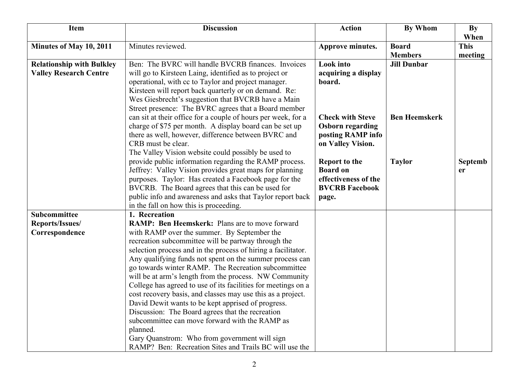| <b>Item</b>                                                       | <b>Discussion</b>                                                                                                                                                                                                                                                                                                                                                                                                                                                                                                                                                                                                                                                                                                                                                   | <b>Action</b>                                                                                     | By Whom              | <b>By</b><br>When |
|-------------------------------------------------------------------|---------------------------------------------------------------------------------------------------------------------------------------------------------------------------------------------------------------------------------------------------------------------------------------------------------------------------------------------------------------------------------------------------------------------------------------------------------------------------------------------------------------------------------------------------------------------------------------------------------------------------------------------------------------------------------------------------------------------------------------------------------------------|---------------------------------------------------------------------------------------------------|----------------------|-------------------|
| Minutes of May 10, 2011                                           | Minutes reviewed.                                                                                                                                                                                                                                                                                                                                                                                                                                                                                                                                                                                                                                                                                                                                                   | Approve minutes.                                                                                  | <b>Board</b>         | <b>This</b>       |
|                                                                   |                                                                                                                                                                                                                                                                                                                                                                                                                                                                                                                                                                                                                                                                                                                                                                     |                                                                                                   | <b>Members</b>       | meeting           |
| <b>Relationship with Bulkley</b><br><b>Valley Research Centre</b> | Ben: The BVRC will handle BVCRB finances. Invoices<br>will go to Kirsteen Laing, identified as to project or<br>operational, with cc to Taylor and project manager.<br>Kirsteen will report back quarterly or on demand. Re:                                                                                                                                                                                                                                                                                                                                                                                                                                                                                                                                        | <b>Look</b> into<br>acquiring a display<br>board.                                                 | <b>Jill Dunbar</b>   |                   |
|                                                                   | Wes Giesbrecht's suggestion that BVCRB have a Main<br>Street presence: The BVRC agrees that a Board member<br>can sit at their office for a couple of hours per week, for a<br>charge of \$75 per month. A display board can be set up<br>there as well, however, difference between BVRC and<br>CRB must be clear.                                                                                                                                                                                                                                                                                                                                                                                                                                                 | <b>Check with Steve</b><br><b>Osborn regarding</b><br>posting RAMP info<br>on Valley Vision.      | <b>Ben Heemskerk</b> |                   |
|                                                                   | The Valley Vision website could possibly be used to<br>provide public information regarding the RAMP process.<br>Jeffrey: Valley Vision provides great maps for planning<br>purposes. Taylor: Has created a Facebook page for the<br>BVCRB. The Board agrees that this can be used for<br>public info and awareness and asks that Taylor report back<br>in the fall on how this is proceeding.                                                                                                                                                                                                                                                                                                                                                                      | <b>Report to the</b><br><b>Board on</b><br>effectiveness of the<br><b>BVCRB Facebook</b><br>page. | <b>Taylor</b>        | Septemb<br>er     |
| Subcommittee                                                      | 1. Recreation                                                                                                                                                                                                                                                                                                                                                                                                                                                                                                                                                                                                                                                                                                                                                       |                                                                                                   |                      |                   |
| Reports/Issues/                                                   | RAMP: Ben Heemskerk: Plans are to move forward                                                                                                                                                                                                                                                                                                                                                                                                                                                                                                                                                                                                                                                                                                                      |                                                                                                   |                      |                   |
| Correspondence                                                    | with RAMP over the summer. By September the<br>recreation subcommittee will be partway through the<br>selection process and in the process of hiring a facilitator.<br>Any qualifying funds not spent on the summer process can<br>go towards winter RAMP. The Recreation subcommittee<br>will be at arm's length from the process. NW Community<br>College has agreed to use of its facilities for meetings on a<br>cost recovery basis, and classes may use this as a project.<br>David Dewit wants to be kept apprised of progress.<br>Discussion: The Board agrees that the recreation<br>subcommittee can move forward with the RAMP as<br>planned.<br>Gary Quanstrom: Who from government will sign<br>RAMP? Ben: Recreation Sites and Trails BC will use the |                                                                                                   |                      |                   |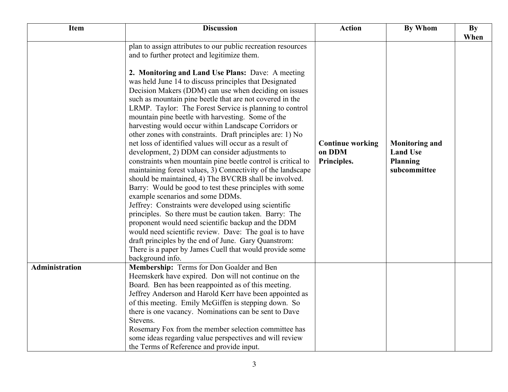| <b>Item</b>           | <b>Discussion</b>                                                                                                                                                                                                                                                                                                                                                                                                                                                                                                                                                                                                                                                                                                                                                                                                                                                                                                                                                                                                                                                                                                                                                                                                                                                                                                                                                   | <b>Action</b>                                    | <b>By Whom</b>                                                              | <b>By</b><br>When |
|-----------------------|---------------------------------------------------------------------------------------------------------------------------------------------------------------------------------------------------------------------------------------------------------------------------------------------------------------------------------------------------------------------------------------------------------------------------------------------------------------------------------------------------------------------------------------------------------------------------------------------------------------------------------------------------------------------------------------------------------------------------------------------------------------------------------------------------------------------------------------------------------------------------------------------------------------------------------------------------------------------------------------------------------------------------------------------------------------------------------------------------------------------------------------------------------------------------------------------------------------------------------------------------------------------------------------------------------------------------------------------------------------------|--------------------------------------------------|-----------------------------------------------------------------------------|-------------------|
|                       | plan to assign attributes to our public recreation resources<br>and to further protect and legitimize them.<br>2. Monitoring and Land Use Plans: Dave: A meeting<br>was held June 14 to discuss principles that Designated<br>Decision Makers (DDM) can use when deciding on issues<br>such as mountain pine beetle that are not covered in the<br>LRMP. Taylor: The Forest Service is planning to control<br>mountain pine beetle with harvesting. Some of the<br>harvesting would occur within Landscape Corridors or<br>other zones with constraints. Draft principles are: 1) No<br>net loss of identified values will occur as a result of<br>development, 2) DDM can consider adjustments to<br>constraints when mountain pine beetle control is critical to<br>maintaining forest values, 3) Connectivity of the landscape<br>should be maintained, 4) The BVCRB shall be involved.<br>Barry: Would be good to test these principles with some<br>example scenarios and some DDMs.<br>Jeffrey: Constraints were developed using scientific<br>principles. So there must be caution taken. Barry: The<br>proponent would need scientific backup and the DDM<br>would need scientific review. Dave: The goal is to have<br>draft principles by the end of June. Gary Quanstrom:<br>There is a paper by James Cuell that would provide some<br>background info. | <b>Continue working</b><br>on DDM<br>Principles. | <b>Monitoring and</b><br><b>Land Use</b><br><b>Planning</b><br>subcommittee |                   |
| <b>Administration</b> | Membership: Terms for Don Goalder and Ben<br>Heemskerk have expired. Don will not continue on the<br>Board. Ben has been reappointed as of this meeting.<br>Jeffrey Anderson and Harold Kerr have been appointed as<br>of this meeting. Emily McGiffen is stepping down. So<br>there is one vacancy. Nominations can be sent to Dave<br>Stevens.<br>Rosemary Fox from the member selection committee has<br>some ideas regarding value perspectives and will review<br>the Terms of Reference and provide input.                                                                                                                                                                                                                                                                                                                                                                                                                                                                                                                                                                                                                                                                                                                                                                                                                                                    |                                                  |                                                                             |                   |